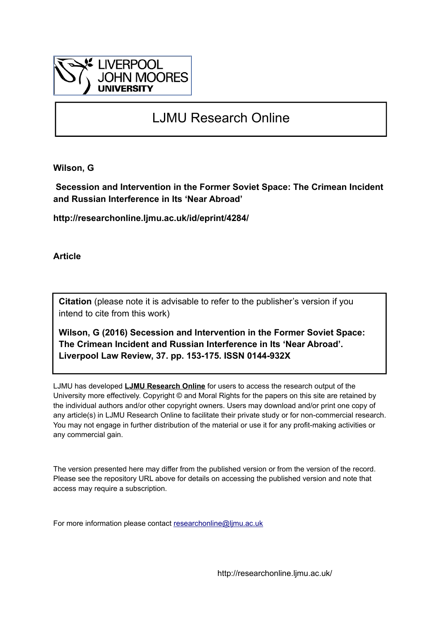

## LJMU Research Online

**Wilson, G**

 **Secession and Intervention in the Former Soviet Space: The Crimean Incident and Russian Interference in Its 'Near Abroad'**

**http://researchonline.ljmu.ac.uk/id/eprint/4284/**

**Article**

**Citation** (please note it is advisable to refer to the publisher's version if you intend to cite from this work)

**Wilson, G (2016) Secession and Intervention in the Former Soviet Space: The Crimean Incident and Russian Interference in Its 'Near Abroad'. Liverpool Law Review, 37. pp. 153-175. ISSN 0144-932X** 

LJMU has developed **[LJMU Research Online](http://researchonline.ljmu.ac.uk/)** for users to access the research output of the University more effectively. Copyright © and Moral Rights for the papers on this site are retained by the individual authors and/or other copyright owners. Users may download and/or print one copy of any article(s) in LJMU Research Online to facilitate their private study or for non-commercial research. You may not engage in further distribution of the material or use it for any profit-making activities or any commercial gain.

The version presented here may differ from the published version or from the version of the record. Please see the repository URL above for details on accessing the published version and note that access may require a subscription.

For more information please contact [researchonline@ljmu.ac.uk](mailto:researchonline@ljmu.ac.uk)

http://researchonline.ljmu.ac.uk/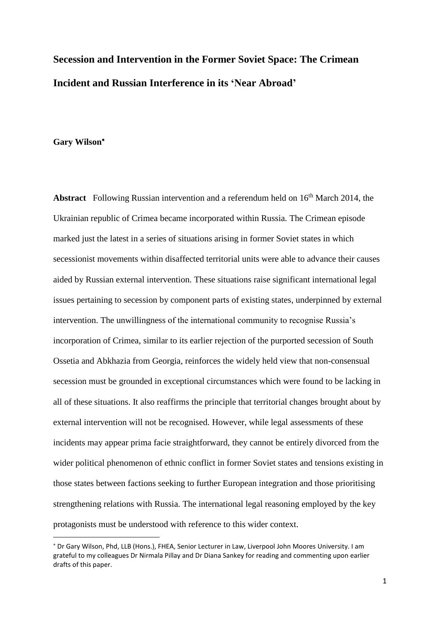# **Secession and Intervention in the Former Soviet Space: The Crimean Incident and Russian Interference in its 'Near Abroad'**

#### **Gary Wilson**

1

**Abstract** Following Russian intervention and a referendum held on 16<sup>th</sup> March 2014, the Ukrainian republic of Crimea became incorporated within Russia. The Crimean episode marked just the latest in a series of situations arising in former Soviet states in which secessionist movements within disaffected territorial units were able to advance their causes aided by Russian external intervention. These situations raise significant international legal issues pertaining to secession by component parts of existing states, underpinned by external intervention. The unwillingness of the international community to recognise Russia's incorporation of Crimea, similar to its earlier rejection of the purported secession of South Ossetia and Abkhazia from Georgia, reinforces the widely held view that non-consensual secession must be grounded in exceptional circumstances which were found to be lacking in all of these situations. It also reaffirms the principle that territorial changes brought about by external intervention will not be recognised. However, while legal assessments of these incidents may appear prima facie straightforward, they cannot be entirely divorced from the wider political phenomenon of ethnic conflict in former Soviet states and tensions existing in those states between factions seeking to further European integration and those prioritising strengthening relations with Russia. The international legal reasoning employed by the key protagonists must be understood with reference to this wider context.

Dr Gary Wilson, Phd, LLB (Hons.), FHEA, Senior Lecturer in Law, Liverpool John Moores University. I am grateful to my colleagues Dr Nirmala Pillay and Dr Diana Sankey for reading and commenting upon earlier drafts of this paper.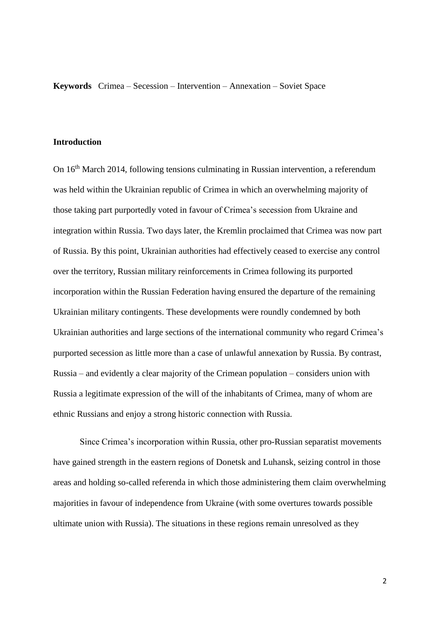**Keywords** Crimea – Secession – Intervention – Annexation – Soviet Space

#### **Introduction**

On 16<sup>th</sup> March 2014, following tensions culminating in Russian intervention, a referendum was held within the Ukrainian republic of Crimea in which an overwhelming majority of those taking part purportedly voted in favour of Crimea's secession from Ukraine and integration within Russia. Two days later, the Kremlin proclaimed that Crimea was now part of Russia. By this point, Ukrainian authorities had effectively ceased to exercise any control over the territory, Russian military reinforcements in Crimea following its purported incorporation within the Russian Federation having ensured the departure of the remaining Ukrainian military contingents. These developments were roundly condemned by both Ukrainian authorities and large sections of the international community who regard Crimea's purported secession as little more than a case of unlawful annexation by Russia. By contrast, Russia – and evidently a clear majority of the Crimean population – considers union with Russia a legitimate expression of the will of the inhabitants of Crimea, many of whom are ethnic Russians and enjoy a strong historic connection with Russia.

Since Crimea's incorporation within Russia, other pro-Russian separatist movements have gained strength in the eastern regions of Donetsk and Luhansk, seizing control in those areas and holding so-called referenda in which those administering them claim overwhelming majorities in favour of independence from Ukraine (with some overtures towards possible ultimate union with Russia). The situations in these regions remain unresolved as they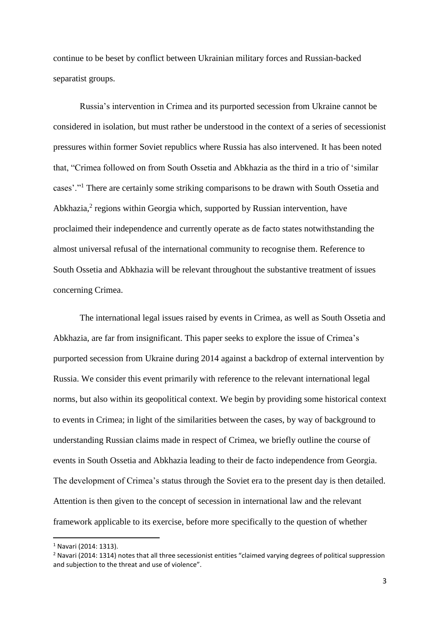continue to be beset by conflict between Ukrainian military forces and Russian-backed separatist groups.

Russia's intervention in Crimea and its purported secession from Ukraine cannot be considered in isolation, but must rather be understood in the context of a series of secessionist pressures within former Soviet republics where Russia has also intervened. It has been noted that, "Crimea followed on from South Ossetia and Abkhazia as the third in a trio of 'similar cases'."<sup>1</sup> There are certainly some striking comparisons to be drawn with South Ossetia and Abkhazia,<sup>2</sup> regions within Georgia which, supported by Russian intervention, have proclaimed their independence and currently operate as de facto states notwithstanding the almost universal refusal of the international community to recognise them. Reference to South Ossetia and Abkhazia will be relevant throughout the substantive treatment of issues concerning Crimea.

The international legal issues raised by events in Crimea, as well as South Ossetia and Abkhazia, are far from insignificant. This paper seeks to explore the issue of Crimea's purported secession from Ukraine during 2014 against a backdrop of external intervention by Russia. We consider this event primarily with reference to the relevant international legal norms, but also within its geopolitical context. We begin by providing some historical context to events in Crimea; in light of the similarities between the cases, by way of background to understanding Russian claims made in respect of Crimea, we briefly outline the course of events in South Ossetia and Abkhazia leading to their de facto independence from Georgia. The development of Crimea's status through the Soviet era to the present day is then detailed. Attention is then given to the concept of secession in international law and the relevant framework applicable to its exercise, before more specifically to the question of whether

<sup>1</sup> Navari (2014: 1313).

<sup>&</sup>lt;sup>2</sup> Navari (2014: 1314) notes that all three secessionist entities "claimed varying degrees of political suppression and subjection to the threat and use of violence".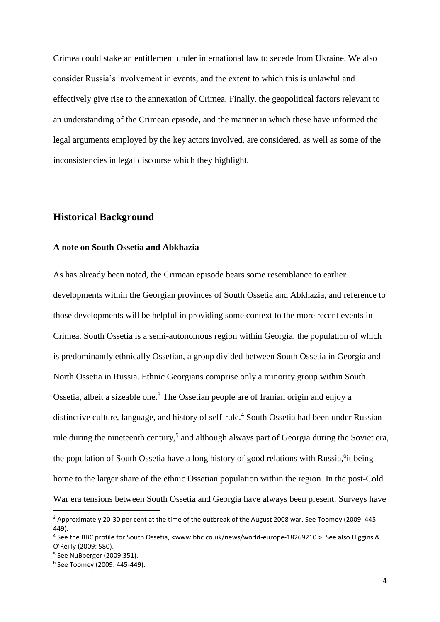Crimea could stake an entitlement under international law to secede from Ukraine. We also consider Russia's involvement in events, and the extent to which this is unlawful and effectively give rise to the annexation of Crimea. Finally, the geopolitical factors relevant to an understanding of the Crimean episode, and the manner in which these have informed the legal arguments employed by the key actors involved, are considered, as well as some of the inconsistencies in legal discourse which they highlight.

## **Historical Background**

#### **A note on South Ossetia and Abkhazia**

As has already been noted, the Crimean episode bears some resemblance to earlier developments within the Georgian provinces of South Ossetia and Abkhazia, and reference to those developments will be helpful in providing some context to the more recent events in Crimea. South Ossetia is a semi-autonomous region within Georgia, the population of which is predominantly ethnically Ossetian, a group divided between South Ossetia in Georgia and North Ossetia in Russia. Ethnic Georgians comprise only a minority group within South Ossetia, albeit a sizeable one.<sup>3</sup> The Ossetian people are of Iranian origin and enjoy a distinctive culture, language, and history of self-rule.<sup>4</sup> South Ossetia had been under Russian rule during the nineteenth century,<sup>5</sup> and although always part of Georgia during the Soviet era, the population of South Ossetia have a long history of good relations with Russia, <sup>6</sup>it being home to the larger share of the ethnic Ossetian population within the region. In the post-Cold War era tensions between South Ossetia and Georgia have always been present. Surveys have

<sup>&</sup>lt;sup>3</sup> Approximately 20-30 per cent at the time of the outbreak of the August 2008 war. See Toomey (2009: 445-449).

<sup>4</sup> See the BBC profile for South Ossetia, [<www.bbc.co.uk/news/world-europe-18269210](http://www.bbc.co.uk/news/world-europe-18269210) >. See also Higgins & O'Reilly (2009: 580).

<sup>5</sup> See NuBberger (2009:351).

<sup>6</sup> See Toomey (2009: 445-449).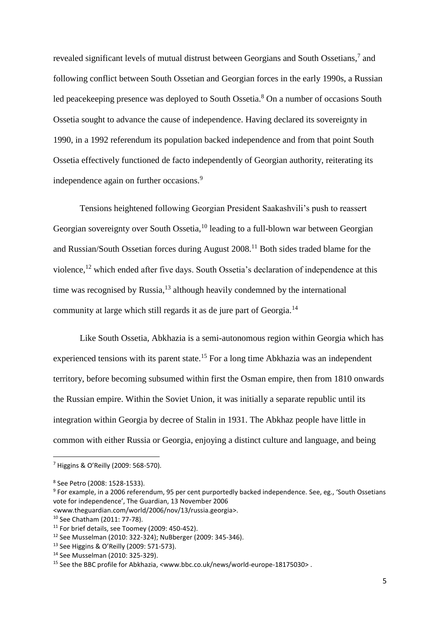revealed significant levels of mutual distrust between Georgians and South Ossetians,<sup>7</sup> and following conflict between South Ossetian and Georgian forces in the early 1990s, a Russian led peacekeeping presence was deployed to South Ossetia.<sup>8</sup> On a number of occasions South Ossetia sought to advance the cause of independence. Having declared its sovereignty in 1990, in a 1992 referendum its population backed independence and from that point South Ossetia effectively functioned de facto independently of Georgian authority, reiterating its independence again on further occasions.<sup>9</sup>

Tensions heightened following Georgian President Saakashvili's push to reassert Georgian sovereignty over South Ossetia, <sup>10</sup> leading to a full-blown war between Georgian and Russian/South Ossetian forces during August 2008.<sup>11</sup> Both sides traded blame for the violence,<sup>12</sup> which ended after five days. South Ossetia's declaration of independence at this time was recognised by Russia, $^{13}$  although heavily condemned by the international community at large which still regards it as de jure part of Georgia.<sup>14</sup>

Like South Ossetia, Abkhazia is a semi-autonomous region within Georgia which has experienced tensions with its parent state.<sup>15</sup> For a long time Abkhazia was an independent territory, before becoming subsumed within first the Osman empire, then from 1810 onwards the Russian empire. Within the Soviet Union, it was initially a separate republic until its integration within Georgia by decree of Stalin in 1931. The Abkhaz people have little in common with either Russia or Georgia, enjoying a distinct culture and language, and being

<sup>7</sup> Higgins & O'Reilly (2009: 568-570).

<sup>8</sup> See Petro (2008: 1528-1533).

<sup>9</sup> For example, in a 2006 referendum, 95 per cent purportedly backed independence. See, eg., 'South Ossetians vote for independence', The Guardian, 13 November 2006

[<sup>&</sup>lt;www.theguardian.com/world/2006/nov/13/russia.georgia>](http://www.theguardian.com/world/2006/nov/13/russia.georgia).

<sup>10</sup> See Chatham (2011: 77-78).

 $11$  For brief details, see Toomey (2009: 450-452).

<sup>12</sup> See Musselman (2010: 322-324); NuBberger (2009: 345-346).

<sup>13</sup> See Higgins & O'Reilly (2009: 571-573).

<sup>14</sup> See Musselman (2010: 325-329).

<sup>15</sup> See the BBC profile for Abkhazia, <www.bbc.co.uk/news/world-europe-18175030> .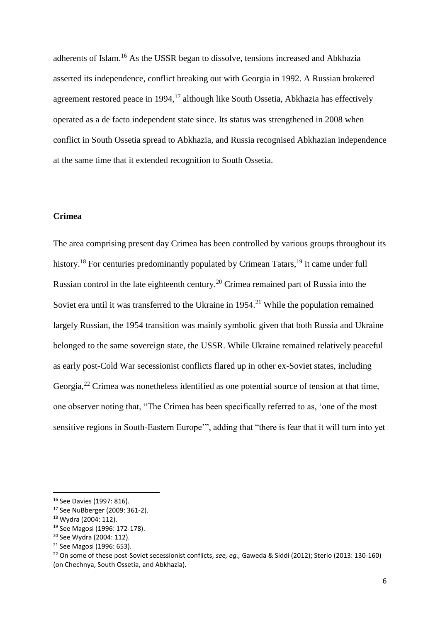adherents of Islam.<sup>16</sup> As the USSR began to dissolve, tensions increased and Abkhazia asserted its independence, conflict breaking out with Georgia in 1992. A Russian brokered agreement restored peace in 1994,<sup>17</sup> although like South Ossetia, Abkhazia has effectively operated as a de facto independent state since. Its status was strengthened in 2008 when conflict in South Ossetia spread to Abkhazia, and Russia recognised Abkhazian independence at the same time that it extended recognition to South Ossetia.

#### **Crimea**

The area comprising present day Crimea has been controlled by various groups throughout its history.<sup>18</sup> For centuries predominantly populated by Crimean Tatars,<sup>19</sup> it came under full Russian control in the late eighteenth century.<sup>20</sup> Crimea remained part of Russia into the Soviet era until it was transferred to the Ukraine in 1954.<sup>21</sup> While the population remained largely Russian, the 1954 transition was mainly symbolic given that both Russia and Ukraine belonged to the same sovereign state, the USSR. While Ukraine remained relatively peaceful as early post-Cold War secessionist conflicts flared up in other ex-Soviet states, including Georgia,<sup>22</sup> Crimea was nonetheless identified as one potential source of tension at that time, one observer noting that, "The Crimea has been specifically referred to as, 'one of the most sensitive regions in South-Eastern Europe'", adding that "there is fear that it will turn into yet

<sup>16</sup> See Davies (1997: 816).

<sup>17</sup> See NuBberger (2009: 361-2).

<sup>18</sup> Wydra (2004: 112).

<sup>19</sup> See Magosi (1996: 172-178).

<sup>20</sup> See Wydra (2004: 112).

<sup>21</sup> See Magosi (1996: 653).

<sup>22</sup> On some of these post-Soviet secessionist conflicts, *see, eg.,* Gaweda & Siddi (2012); Sterio (2013: 130-160) (on Chechnya, South Ossetia, and Abkhazia).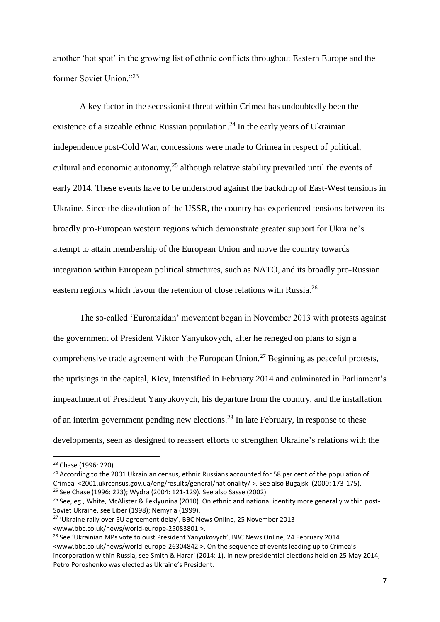another 'hot spot' in the growing list of ethnic conflicts throughout Eastern Europe and the former Soviet Union<sup>"23</sup>

A key factor in the secessionist threat within Crimea has undoubtedly been the existence of a sizeable ethnic Russian population.<sup>24</sup> In the early years of Ukrainian independence post-Cold War, concessions were made to Crimea in respect of political, cultural and economic autonomy,<sup>25</sup> although relative stability prevailed until the events of early 2014. These events have to be understood against the backdrop of East-West tensions in Ukraine. Since the dissolution of the USSR, the country has experienced tensions between its broadly pro-European western regions which demonstrate greater support for Ukraine's attempt to attain membership of the European Union and move the country towards integration within European political structures, such as NATO, and its broadly pro-Russian eastern regions which favour the retention of close relations with Russia.<sup>26</sup>

The so-called 'Euromaidan' movement began in November 2013 with protests against the government of President Viktor Yanyukovych, after he reneged on plans to sign a comprehensive trade agreement with the European Union.<sup>27</sup> Beginning as peaceful protests, the uprisings in the capital, Kiev, intensified in February 2014 and culminated in Parliament's impeachment of President Yanyukovych, his departure from the country, and the installation of an interim government pending new elections.<sup>28</sup> In late February, in response to these developments, seen as designed to reassert efforts to strengthen Ukraine's relations with the

 $\overline{a}$ 

<sup>24</sup> According to the 2001 Ukrainian census, ethnic Russians accounted for 58 per cent of the population of Crimea [<2001.ukrcensus.gov.ua/eng/results/general/nationality/](http://2001.ukrcensus.gov.ua/eng/results/general/nationality/) >. See also Bugajski (2000: 173-175). <sup>25</sup> See Chase (1996: 223); Wydra (2004: 121-129). See also Sasse (2002).

<sup>23</sup> Chase (1996: 220).

<sup>&</sup>lt;sup>26</sup> See, eg., White, McAlister & Feklyunina (2010). On ethnic and national identity more generally within post-Soviet Ukraine, see Liber (1998); Nemyria (1999).

<sup>27</sup> 'Ukraine rally over EU agreement delay', BBC News Online, 25 November 2013 [<www.bbc.co.uk/news/world-europe-25083801](http://www.bbc.co.uk/news/world-europe-25083801) >.

<sup>&</sup>lt;sup>28</sup> See 'Ukrainian MPs vote to oust President Yanyukovych', BBC News Online, 24 February 2014 [<www.bbc.co.uk/news/world-europe-26304842](http://www.bbc.co.uk/news/world-europe-26304842) >. On the sequence of events leading up to Crimea's incorporation within Russia, see Smith & Harari (2014: 1). In new presidential elections held on 25 May 2014, Petro Poroshenko was elected as Ukraine's President.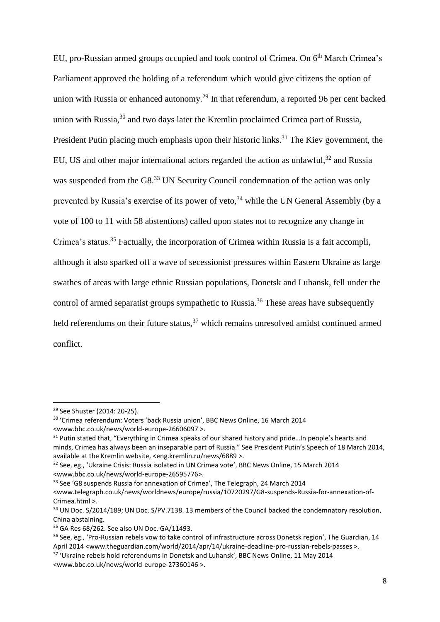EU, pro-Russian armed groups occupied and took control of Crimea. On 6th March Crimea's Parliament approved the holding of a referendum which would give citizens the option of union with Russia or enhanced autonomy.<sup>29</sup> In that referendum, a reported 96 per cent backed union with Russia,<sup>30</sup> and two days later the Kremlin proclaimed Crimea part of Russia, President Putin placing much emphasis upon their historic links.<sup>31</sup> The Kiev government, the EU, US and other major international actors regarded the action as unlawful,  $32$  and Russia was suspended from the G8.<sup>33</sup> UN Security Council condemnation of the action was only prevented by Russia's exercise of its power of veto,<sup>34</sup> while the UN General Assembly (by a vote of 100 to 11 with 58 abstentions) called upon states not to recognize any change in Crimea's status. <sup>35</sup> Factually, the incorporation of Crimea within Russia is a fait accompli, although it also sparked off a wave of secessionist pressures within Eastern Ukraine as large swathes of areas with large ethnic Russian populations, Donetsk and Luhansk, fell under the control of armed separatist groups sympathetic to Russia.<sup>36</sup> These areas have subsequently held referendums on their future status,<sup>37</sup> which remains unresolved amidst continued armed conflict.

<sup>29</sup> See Shuster (2014: 20-25).

<sup>30</sup> 'Crimea referendum: Voters 'back Russia union', BBC News Online, 16 March 2014 [<www.bbc.co.uk/news/world-europe-26606097](http://www.bbc.co.uk/news/world-europe-26606097) >.

<sup>&</sup>lt;sup>31</sup> Putin stated that, "Everything in Crimea speaks of our shared history and pride...In people's hearts and minds, Crimea has always been an inseparable part of Russia." See President Putin's Speech of 18 March 2014, available at the Kremlin website, [<eng.kremlin.ru/news/6889](http://eng.kremlin.ru/news/6889) >.

<sup>&</sup>lt;sup>32</sup> See, eg., 'Ukraine Crisis: Russia isolated in UN Crimea vote', BBC News Online, 15 March 2014 [<www.bbc.co.uk/news/world-europe-26595776>](http://www.bbc.co.uk/news/world-europe-26595776).

<sup>&</sup>lt;sup>33</sup> See 'G8 suspends Russia for annexation of Crimea', The Telegraph, 24 March 2014 [<www.telegraph.co.uk/news/worldnews/europe/russia/10720297/G8-suspends-Russia-for-annexation-of-](http://www.telegraph.co.uk/news/worldnews/europe/russia/10720297/G8-suspends-Russia-for-annexation-of-Crimea.html)[Crimea.html](http://www.telegraph.co.uk/news/worldnews/europe/russia/10720297/G8-suspends-Russia-for-annexation-of-Crimea.html) >.

<sup>&</sup>lt;sup>34</sup> UN Doc. S/2014/189; UN Doc. S/PV.7138. 13 members of the Council backed the condemnatory resolution, China abstaining.

<sup>&</sup>lt;sup>35</sup> GA Res 68/262. See also UN Doc. GA/11493.

<sup>&</sup>lt;sup>36</sup> See, eg., 'Pro-Russian rebels vow to take control of infrastructure across Donetsk region', The Guardian, 14 April 2014 [<www.theguardian.com/world/2014/apr/14/ukraine-deadline-pro-russian-rebels-passes](http://www.theguardian.com/world/2014/apr/14/ukraine-deadline-pro-russian-rebels-passes) >.

<sup>&</sup>lt;sup>37</sup> 'Ukraine rebels hold referendums in Donetsk and Luhansk', BBC News Online, 11 May 2014 [<www.bbc.co.uk/news/world-europe-27360146 >](http://www.bbc.co.uk/news/world-europe-27360146).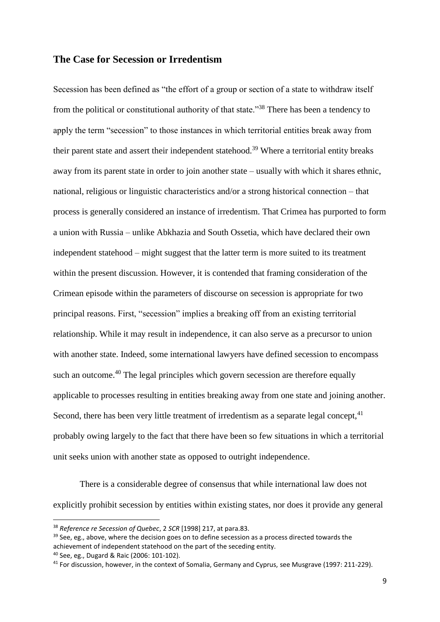## **The Case for Secession or Irredentism**

Secession has been defined as "the effort of a group or section of a state to withdraw itself from the political or constitutional authority of that state."<sup>38</sup> There has been a tendency to apply the term "secession" to those instances in which territorial entities break away from their parent state and assert their independent statehood.<sup>39</sup> Where a territorial entity breaks away from its parent state in order to join another state – usually with which it shares ethnic, national, religious or linguistic characteristics and/or a strong historical connection – that process is generally considered an instance of irredentism. That Crimea has purported to form a union with Russia – unlike Abkhazia and South Ossetia, which have declared their own independent statehood – might suggest that the latter term is more suited to its treatment within the present discussion. However, it is contended that framing consideration of the Crimean episode within the parameters of discourse on secession is appropriate for two principal reasons. First, "secession" implies a breaking off from an existing territorial relationship. While it may result in independence, it can also serve as a precursor to union with another state. Indeed, some international lawyers have defined secession to encompass such an outcome.<sup>40</sup> The legal principles which govern secession are therefore equally applicable to processes resulting in entities breaking away from one state and joining another. Second, there has been very little treatment of irredentism as a separate legal concept,  $41$ probably owing largely to the fact that there have been so few situations in which a territorial unit seeks union with another state as opposed to outright independence.

There is a considerable degree of consensus that while international law does not explicitly prohibit secession by entities within existing states, nor does it provide any general

 $\overline{a}$ 

<sup>38</sup> *Reference re Secession of Quebec*, 2 *SCR* [1998] 217, at para.83.

<sup>&</sup>lt;sup>39</sup> See, eg., above, where the decision goes on to define secession as a process directed towards the achievement of independent statehood on the part of the seceding entity.

<sup>40</sup> See, eg., Dugard & Raic (2006: 101-102).

<sup>41</sup> For discussion, however, in the context of Somalia, Germany and Cyprus, see Musgrave (1997: 211-229).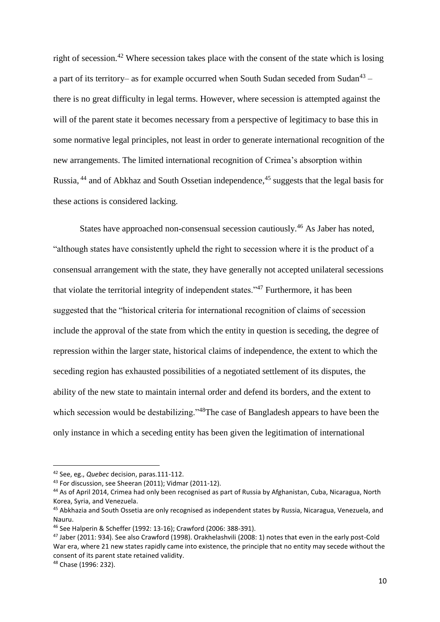right of secession.<sup>42</sup> Where secession takes place with the consent of the state which is losing a part of its territory– as for example occurred when South Sudan seceded from Sudan<sup>43</sup> – there is no great difficulty in legal terms. However, where secession is attempted against the will of the parent state it becomes necessary from a perspective of legitimacy to base this in some normative legal principles, not least in order to generate international recognition of the new arrangements. The limited international recognition of Crimea's absorption within Russia, <sup>44</sup> and of Abkhaz and South Ossetian independence, <sup>45</sup> suggests that the legal basis for these actions is considered lacking.

States have approached non-consensual secession cautiously.<sup>46</sup> As Jaber has noted, "although states have consistently upheld the right to secession where it is the product of a consensual arrangement with the state, they have generally not accepted unilateral secessions that violate the territorial integrity of independent states."<sup>47</sup> Furthermore, it has been suggested that the "historical criteria for international recognition of claims of secession include the approval of the state from which the entity in question is seceding, the degree of repression within the larger state, historical claims of independence, the extent to which the seceding region has exhausted possibilities of a negotiated settlement of its disputes, the ability of the new state to maintain internal order and defend its borders, and the extent to which secession would be destabilizing."<sup>48</sup>The case of Bangladesh appears to have been the only instance in which a seceding entity has been given the legitimation of international

<sup>48</sup> Chase (1996: 232).

<sup>42</sup> See, eg., *Quebec* decision, paras.111-112.

<sup>43</sup> For discussion, see Sheeran (2011); Vidmar (2011-12).

<sup>44</sup> As of April 2014, Crimea had only been recognised as part of Russia by Afghanistan, Cuba, Nicaragua, North Korea, Syria, and Venezuela.

<sup>&</sup>lt;sup>45</sup> Abkhazia and South Ossetia are only recognised as independent states by Russia, Nicaragua, Venezuela, and Nauru.

<sup>46</sup> See Halperin & Scheffer (1992: 13-16); Crawford (2006: 388-391).

<sup>47</sup> Jaber (2011: 934). See also Crawford (1998). Orakhelashvili (2008: 1) notes that even in the early post-Cold War era, where 21 new states rapidly came into existence, the principle that no entity may secede without the consent of its parent state retained validity.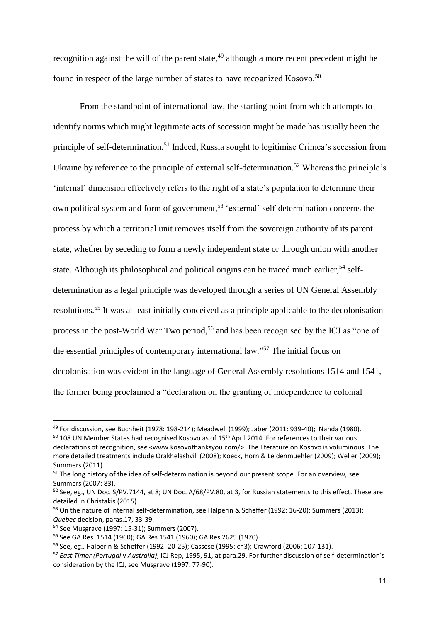recognition against the will of the parent state,  $49$  although a more recent precedent might be found in respect of the large number of states to have recognized Kosovo.<sup>50</sup>

From the standpoint of international law, the starting point from which attempts to identify norms which might legitimate acts of secession might be made has usually been the principle of self-determination.<sup>51</sup> Indeed, Russia sought to legitimise Crimea's secession from Ukraine by reference to the principle of external self-determination.<sup>52</sup> Whereas the principle's 'internal' dimension effectively refers to the right of a state's population to determine their own political system and form of government, <sup>53</sup> 'external' self-determination concerns the process by which a territorial unit removes itself from the sovereign authority of its parent state, whether by seceding to form a newly independent state or through union with another state. Although its philosophical and political origins can be traced much earlier.<sup>54</sup> selfdetermination as a legal principle was developed through a series of UN General Assembly resolutions.<sup>55</sup> It was at least initially conceived as a principle applicable to the decolonisation process in the post-World War Two period,<sup>56</sup> and has been recognised by the ICJ as "one of the essential principles of contemporary international law."<sup>57</sup> The initial focus on decolonisation was evident in the language of General Assembly resolutions 1514 and 1541, the former being proclaimed a "declaration on the granting of independence to colonial

<sup>49</sup> For discussion, see Buchheit (1978: 198-214); Meadwell (1999); Jaber (2011: 939-40); Nanda (1980).

<sup>&</sup>lt;sup>50</sup> 108 UN Member States had recognised Kosovo as of 15<sup>th</sup> April 2014. For references to their various declarations of recognition, *see* [<www.kosovothanksyou.com/>](http://www.kosovothanksyou.com/). The literature on Kosovo is voluminous. The more detailed treatments include Orakhelashvili (2008); Koeck, Horn & Leidenmuehler (2009); Weller (2009); Summers (2011).

<sup>&</sup>lt;sup>51</sup> The long history of the idea of self-determination is beyond our present scope. For an overview, see Summers (2007: 83).

<sup>&</sup>lt;sup>52</sup> See, eg., UN Doc. S/PV.7144, at 8; UN Doc. A/68/PV.80, at 3, for Russian statements to this effect. These are detailed in Christakis (2015).

<sup>&</sup>lt;sup>53</sup> On the nature of internal self-determination, see Halperin & Scheffer (1992: 16-20); Summers (2013); *Quebec* decision, paras.17, 33-39.

<sup>54</sup> See Musgrave (1997: 15-31); Summers (2007).

<sup>55</sup> See GA Res. 1514 (1960); GA Res 1541 (1960); GA Res 2625 (1970).

<sup>56</sup> See, eg., Halperin & Scheffer (1992: 20-25); Cassese (1995: ch3); Crawford (2006: 107-131).

<sup>57</sup> *East Timor (Portugal* v *Australia)*, ICJ Rep, 1995, 91, at para.29. For further discussion of self-determination's consideration by the ICJ, see Musgrave (1997: 77-90).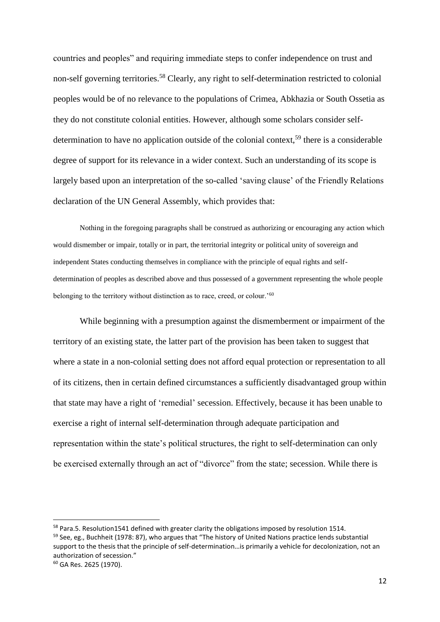countries and peoples" and requiring immediate steps to confer independence on trust and non-self governing territories.<sup>58</sup> Clearly, any right to self-determination restricted to colonial peoples would be of no relevance to the populations of Crimea, Abkhazia or South Ossetia as they do not constitute colonial entities. However, although some scholars consider selfdetermination to have no application outside of the colonial context,<sup>59</sup> there is a considerable degree of support for its relevance in a wider context. Such an understanding of its scope is largely based upon an interpretation of the so-called 'saving clause' of the Friendly Relations declaration of the UN General Assembly, which provides that:

Nothing in the foregoing paragraphs shall be construed as authorizing or encouraging any action which would dismember or impair, totally or in part, the territorial integrity or political unity of sovereign and independent States conducting themselves in compliance with the principle of equal rights and selfdetermination of peoples as described above and thus possessed of a government representing the whole people belonging to the territory without distinction as to race, creed, or colour.'<sup>60</sup>

While beginning with a presumption against the dismemberment or impairment of the territory of an existing state, the latter part of the provision has been taken to suggest that where a state in a non-colonial setting does not afford equal protection or representation to all of its citizens, then in certain defined circumstances a sufficiently disadvantaged group within that state may have a right of 'remedial' secession. Effectively, because it has been unable to exercise a right of internal self-determination through adequate participation and representation within the state's political structures, the right to self-determination can only be exercised externally through an act of "divorce" from the state; secession. While there is

 $\overline{a}$ 

<sup>&</sup>lt;sup>58</sup> Para.5. Resolution1541 defined with greater clarity the obligations imposed by resolution 1514. 59 See, eg., Buchheit (1978: 87), who argues that "The history of United Nations practice lends substantial support to the thesis that the principle of self-determination…is primarily a vehicle for decolonization, not an authorization of secession."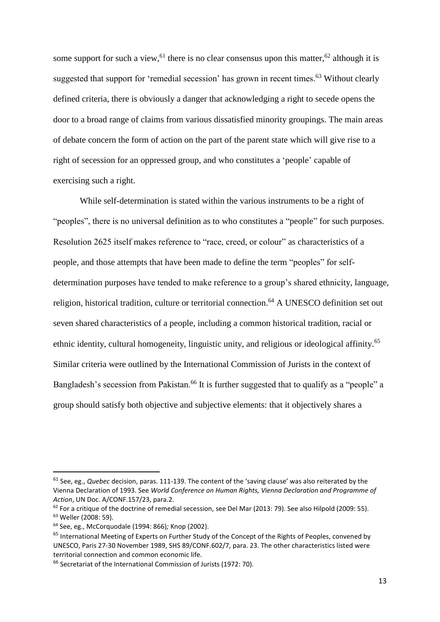some support for such a view, <sup>61</sup> there is no clear consensus upon this matter, <sup>62</sup> although it is suggested that support for 'remedial secession' has grown in recent times.<sup>63</sup> Without clearly defined criteria, there is obviously a danger that acknowledging a right to secede opens the door to a broad range of claims from various dissatisfied minority groupings. The main areas of debate concern the form of action on the part of the parent state which will give rise to a right of secession for an oppressed group, and who constitutes a 'people' capable of exercising such a right.

While self-determination is stated within the various instruments to be a right of "peoples", there is no universal definition as to who constitutes a "people" for such purposes. Resolution 2625 itself makes reference to "race, creed, or colour" as characteristics of a people, and those attempts that have been made to define the term "peoples" for selfdetermination purposes have tended to make reference to a group's shared ethnicity, language, religion, historical tradition, culture or territorial connection.<sup>64</sup> A UNESCO definition set out seven shared characteristics of a people, including a common historical tradition, racial or ethnic identity, cultural homogeneity, linguistic unity, and religious or ideological affinity.<sup>65</sup> Similar criteria were outlined by the International Commission of Jurists in the context of Bangladesh's secession from Pakistan.<sup>66</sup> It is further suggested that to qualify as a "people" a group should satisfy both objective and subjective elements: that it objectively shares a

<sup>61</sup> See, eg., *Quebec* decision, paras. 111-139. The content of the 'saving clause' was also reiterated by the Vienna Declaration of 1993. See *World Conference on Human Rights, Vienna Declaration and Programme of Action*, UN Doc. A/CONF.157/23, para.2.

<sup>62</sup> For a critique of the doctrine of remedial secession, see Del Mar (2013: 79). See also Hilpold (2009: 55). <sup>63</sup> Weller (2008: 59).

<sup>64</sup> See, eg., McCorquodale (1994: 866)*;* Knop (2002).

<sup>&</sup>lt;sup>65</sup> International Meeting of Experts on Further Study of the Concept of the Rights of Peoples, convened by UNESCO, Paris 27-30 November 1989, SHS 89/CONF.602/7, para. 23. The other characteristics listed were territorial connection and common economic life.

<sup>66</sup> Secretariat of the International Commission of Jurists (1972: 70).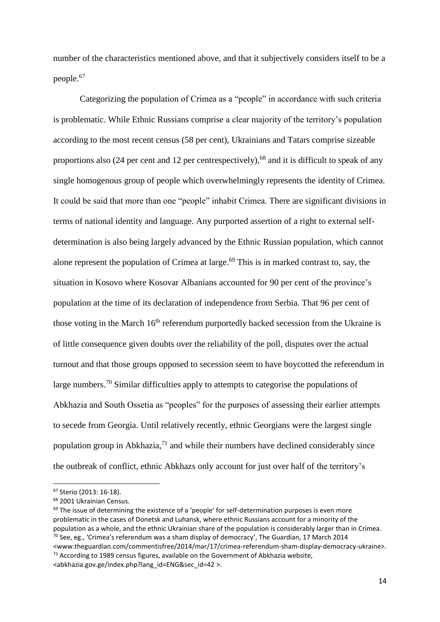number of the characteristics mentioned above, and that it subjectively considers itself to be a people.<sup>67</sup>

Categorizing the population of Crimea as a "people" in accordance with such criteria is problematic. While Ethnic Russians comprise a clear majority of the territory's population according to the most recent census (58 per cent), Ukrainians and Tatars comprise sizeable proportions also (24 per cent and 12 per centrespectively),<sup>68</sup> and it is difficult to speak of any single homogenous group of people which overwhelmingly represents the identity of Crimea. It could be said that more than one "people" inhabit Crimea. There are significant divisions in terms of national identity and language. Any purported assertion of a right to external selfdetermination is also being largely advanced by the Ethnic Russian population, which cannot alone represent the population of Crimea at large.<sup>69</sup> This is in marked contrast to, say, the situation in Kosovo where Kosovar Albanians accounted for 90 per cent of the province's population at the time of its declaration of independence from Serbia. That 96 per cent of those voting in the March 16<sup>th</sup> referendum purportedly backed secession from the Ukraine is of little consequence given doubts over the reliability of the poll, disputes over the actual turnout and that those groups opposed to secession seem to have boycotted the referendum in large numbers.<sup>70</sup> Similar difficulties apply to attempts to categorise the populations of Abkhazia and South Ossetia as "peoples" for the purposes of assessing their earlier attempts to secede from Georgia. Until relatively recently, ethnic Georgians were the largest single population group in Abkhazia, $^{71}$  and while their numbers have declined considerably since the outbreak of conflict, ethnic Abkhazs only account for just over half of the territory's

<sup>67</sup> Sterio (2013: 16-18).

<sup>68</sup> 2001 Ukrainian Census.

 $69$  The issue of determining the existence of a 'people' for self-determination purposes is even more problematic in the cases of Donetsk and Luhansk, where ethnic Russians account for a minority of the population as a whole, and the ethnic Ukrainian share of the population is considerably larger than in Crimea.  $70$  See, eg., 'Crimea's referendum was a sham display of democracy', The Guardian, 17 March 2014

[<sup>&</sup>lt;www.theguardian.com/commentisfree/2014/mar/17/crimea-referendum-sham-display-democracy-ukraine>](http://www.theguardian.com/commentisfree/2014/mar/17/crimea-referendum-sham-display-democracy-ukraine).  $71$  According to 1989 census figures, available on the Government of Abkhazia website, [<abkhazia.gov.ge/index.php?lang\\_id=ENG&sec\\_id=42](http://abkhazia.gov.ge/index.php?lang_id=ENG&sec_id=42) >.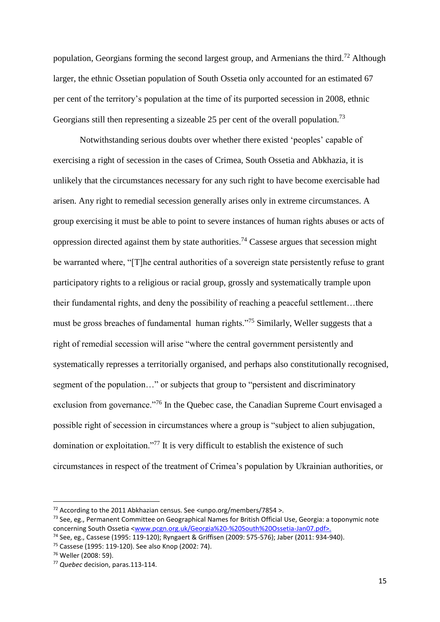population, Georgians forming the second largest group, and Armenians the third.<sup>72</sup> Although larger, the ethnic Ossetian population of South Ossetia only accounted for an estimated 67 per cent of the territory's population at the time of its purported secession in 2008, ethnic Georgians still then representing a sizeable 25 per cent of the overall population.<sup>73</sup>

Notwithstanding serious doubts over whether there existed 'peoples' capable of exercising a right of secession in the cases of Crimea, South Ossetia and Abkhazia, it is unlikely that the circumstances necessary for any such right to have become exercisable had arisen. Any right to remedial secession generally arises only in extreme circumstances. A group exercising it must be able to point to severe instances of human rights abuses or acts of oppression directed against them by state authorities.<sup>74</sup> Cassese argues that secession might be warranted where, "[T]he central authorities of a sovereign state persistently refuse to grant participatory rights to a religious or racial group, grossly and systematically trample upon their fundamental rights, and deny the possibility of reaching a peaceful settlement…there must be gross breaches of fundamental human rights."<sup>75</sup> Similarly, Weller suggests that a right of remedial secession will arise "where the central government persistently and systematically represses a territorially organised, and perhaps also constitutionally recognised, segment of the population…" or subjects that group to "persistent and discriminatory exclusion from governance."<sup>76</sup> In the Quebec case, the Canadian Supreme Court envisaged a possible right of secession in circumstances where a group is "subject to alien subjugation, domination or exploitation."<sup>77</sup> It is very difficult to establish the existence of such circumstances in respect of the treatment of Crimea's population by Ukrainian authorities, or

 $\overline{a}$ 

<sup>&</sup>lt;sup>72</sup> According to the 2011 Abkhazian census. See [<unpo.org/members/7854](http://unpo.org/members/7854) >.

<sup>&</sup>lt;sup>73</sup> See, eg., Permanent Committee on Geographical Names for British Official Use, Georgia: a toponymic note concerning South Ossetia [<www.pcgn.org.uk/Georgia%20-%20South%20Ossetia-Jan07.pdf>.](http://www.pcgn.org.uk/Georgia%20-%20South%20Ossetia-Jan07.pdf%3e.)

<sup>74</sup> See, eg., Cassese (1995: 119-120); Ryngaert & Griffisen (2009: 575-576); Jaber (2011: 934-940).

<sup>75</sup> Cassese (1995: 119-120). See also Knop (2002: 74).

<sup>76</sup> Weller (2008: 59).

<sup>77</sup> *Quebec* decision, paras.113-114.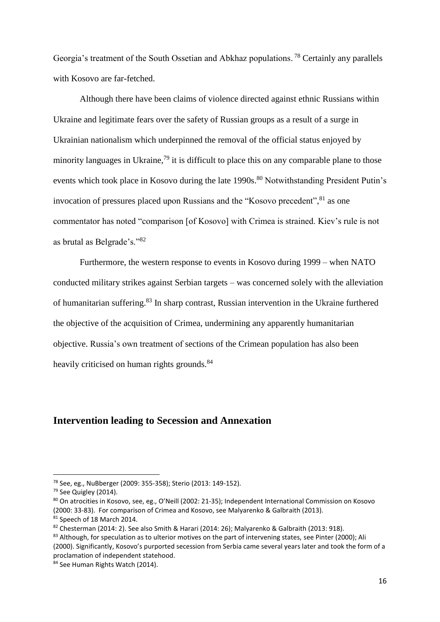Georgia's treatment of the South Ossetian and Abkhaz populations.<sup>78</sup> Certainly any parallels with Kosovo are far-fetched.

Although there have been claims of violence directed against ethnic Russians within Ukraine and legitimate fears over the safety of Russian groups as a result of a surge in Ukrainian nationalism which underpinned the removal of the official status enjoyed by minority languages in Ukraine,<sup>79</sup> it is difficult to place this on any comparable plane to those events which took place in Kosovo during the late 1990s.<sup>80</sup> Notwithstanding President Putin's invocation of pressures placed upon Russians and the "Kosovo precedent", $81$  as one commentator has noted "comparison [of Kosovo] with Crimea is strained. Kiev's rule is not as brutal as Belgrade's."<sup>82</sup>

Furthermore, the western response to events in Kosovo during 1999 – when NATO conducted military strikes against Serbian targets – was concerned solely with the alleviation of humanitarian suffering.<sup>83</sup> In sharp contrast, Russian intervention in the Ukraine furthered the objective of the acquisition of Crimea, undermining any apparently humanitarian objective. Russia's own treatment of sections of the Crimean population has also been heavily criticised on human rights grounds.<sup>84</sup>

## **Intervention leading to Secession and Annexation**

<sup>78</sup> See, eg., NuBberger (2009: 355-358); Sterio (2013: 149-152).

<sup>79</sup> See Quigley (2014).

<sup>80</sup> On atrocities in Kosovo, see, eg., O'Neill (2002: 21-35); Independent International Commission on Kosovo (2000: 33-83). For comparison of Crimea and Kosovo, see Malyarenko & Galbraith (2013).

<sup>81</sup> Speech of 18 March 2014.

 $82$  Chesterman (2014: 2). See also Smith & Harari (2014: 26); Malyarenko & Galbraith (2013: 918).

<sup>83</sup> Although, for speculation as to ulterior motives on the part of intervening states, see Pinter (2000); Ali (2000). Significantly, Kosovo's purported secession from Serbia came several years later and took the form of a proclamation of independent statehood.

<sup>84</sup> See Human Rights Watch (2014).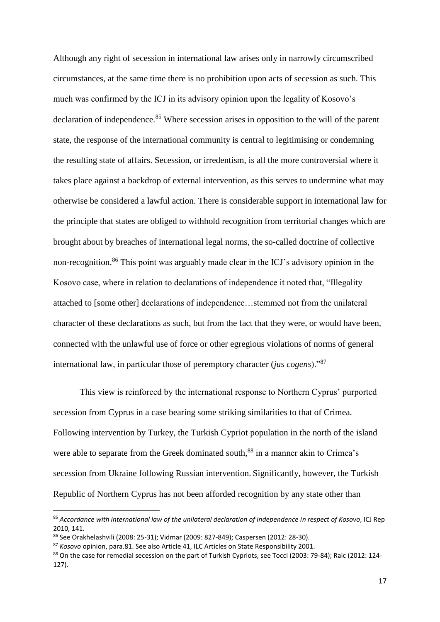Although any right of secession in international law arises only in narrowly circumscribed circumstances, at the same time there is no prohibition upon acts of secession as such. This much was confirmed by the ICJ in its advisory opinion upon the legality of Kosovo's declaration of independence.<sup>85</sup> Where secession arises in opposition to the will of the parent state, the response of the international community is central to legitimising or condemning the resulting state of affairs. Secession, or irredentism, is all the more controversial where it takes place against a backdrop of external intervention, as this serves to undermine what may otherwise be considered a lawful action. There is considerable support in international law for the principle that states are obliged to withhold recognition from territorial changes which are brought about by breaches of international legal norms, the so-called doctrine of collective non-recognition.<sup>86</sup> This point was arguably made clear in the ICJ's advisory opinion in the Kosovo case, where in relation to declarations of independence it noted that, "Illegality attached to [some other] declarations of independence…stemmed not from the unilateral character of these declarations as such, but from the fact that they were, or would have been, connected with the unlawful use of force or other egregious violations of norms of general international law, in particular those of peremptory character (*jus cogens*)."<sup>87</sup>

This view is reinforced by the international response to Northern Cyprus' purported secession from Cyprus in a case bearing some striking similarities to that of Crimea. Following intervention by Turkey, the Turkish Cypriot population in the north of the island were able to separate from the Greek dominated south,<sup>88</sup> in a manner akin to Crimea's secession from Ukraine following Russian intervention. Significantly, however, the Turkish Republic of Northern Cyprus has not been afforded recognition by any state other than

<sup>85</sup> *Accordance with international law of the unilateral declaration of independence in respect of Kosovo*, ICJ Rep 2010, 141.

<sup>86</sup> See Orakhelashvili (2008: 25-31); Vidmar (2009: 827-849); Caspersen (2012: 28-30).

<sup>87</sup> *Kosovo* opinion, para.81. See also Article 41, ILC Articles on State Responsibility 2001.

<sup>88</sup> On the case for remedial secession on the part of Turkish Cypriots, see Tocci (2003: 79-84); Raic (2012: 124-127).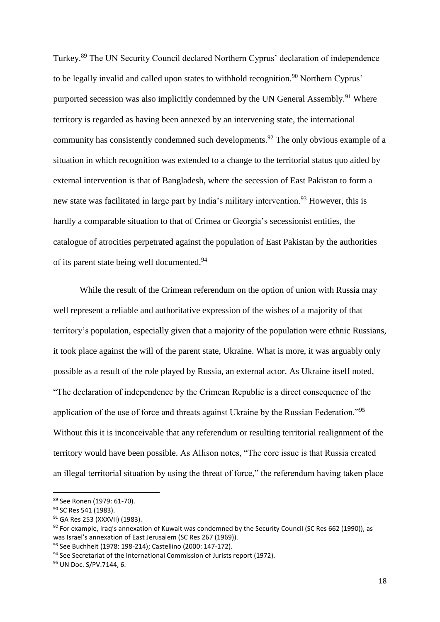Turkey.<sup>89</sup> The UN Security Council declared Northern Cyprus' declaration of independence to be legally invalid and called upon states to withhold recognition.<sup>90</sup> Northern Cyprus' purported secession was also implicitly condemned by the UN General Assembly.<sup>91</sup> Where territory is regarded as having been annexed by an intervening state, the international community has consistently condemned such developments.<sup>92</sup> The only obvious example of a situation in which recognition was extended to a change to the territorial status quo aided by external intervention is that of Bangladesh, where the secession of East Pakistan to form a new state was facilitated in large part by India's military intervention.<sup>93</sup> However, this is hardly a comparable situation to that of Crimea or Georgia's secessionist entities, the catalogue of atrocities perpetrated against the population of East Pakistan by the authorities of its parent state being well documented.<sup>94</sup>

While the result of the Crimean referendum on the option of union with Russia may well represent a reliable and authoritative expression of the wishes of a majority of that territory's population, especially given that a majority of the population were ethnic Russians, it took place against the will of the parent state, Ukraine. What is more, it was arguably only possible as a result of the role played by Russia, an external actor. As Ukraine itself noted, "The declaration of independence by the Crimean Republic is a direct consequence of the application of the use of force and threats against Ukraine by the Russian Federation."<sup>95</sup> Without this it is inconceivable that any referendum or resulting territorial realignment of the territory would have been possible. As Allison notes, "The core issue is that Russia created an illegal territorial situation by using the threat of force," the referendum having taken place

<sup>89</sup> See Ronen (1979: 61-70).

<sup>&</sup>lt;sup>90</sup> SC Res 541 (1983).

<sup>91</sup> GA Res 253 (XXXVII) (1983).

 $92$  For example, Iraq's annexation of Kuwait was condemned by the Security Council (SC Res 662 (1990)), as was Israel's annexation of East Jerusalem (SC Res 267 (1969)).

<sup>93</sup> See Buchheit (1978: 198-214); Castellino (2000: 147-172).

<sup>&</sup>lt;sup>94</sup> See Secretariat of the International Commission of Jurists report (1972).

<sup>95</sup> UN Doc. S/PV.7144, 6.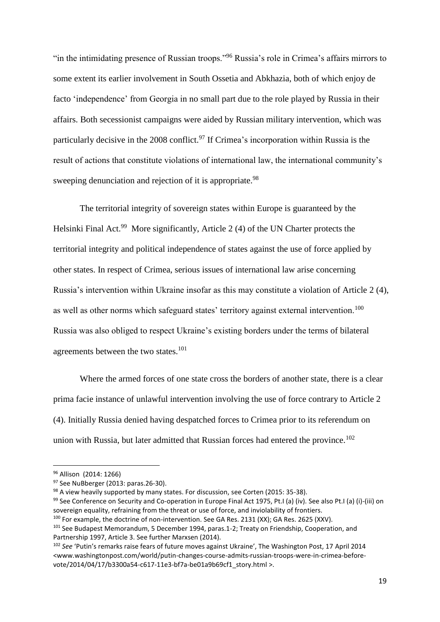"in the intimidating presence of Russian troops."<sup>96</sup> Russia's role in Crimea's affairs mirrors to some extent its earlier involvement in South Ossetia and Abkhazia, both of which enjoy de facto 'independence' from Georgia in no small part due to the role played by Russia in their affairs. Both secessionist campaigns were aided by Russian military intervention, which was particularly decisive in the 2008 conflict.<sup>97</sup> If Crimea's incorporation within Russia is the result of actions that constitute violations of international law, the international community's sweeping denunciation and rejection of it is appropriate.<sup>98</sup>

The territorial integrity of sovereign states within Europe is guaranteed by the Helsinki Final Act.<sup>99</sup> More significantly, Article 2 (4) of the UN Charter protects the territorial integrity and political independence of states against the use of force applied by other states. In respect of Crimea, serious issues of international law arise concerning Russia's intervention within Ukraine insofar as this may constitute a violation of Article 2 (4), as well as other norms which safeguard states' territory against external intervention.<sup>100</sup> Russia was also obliged to respect Ukraine's existing borders under the terms of bilateral agreements between the two states.<sup>101</sup>

Where the armed forces of one state cross the borders of another state, there is a clear prima facie instance of unlawful intervention involving the use of force contrary to Article 2 (4). Initially Russia denied having despatched forces to Crimea prior to its referendum on union with Russia, but later admitted that Russian forces had entered the province.<sup>102</sup>

<sup>96</sup> Allison (2014: 1266)

<sup>97</sup> See NuBberger (2013: paras.26-30).

<sup>98</sup> A view heavily supported by many states. For discussion, see Corten (2015: 35-38).

<sup>&</sup>lt;sup>99</sup> See Conference on Security and Co-operation in Europe Final Act 1975, Pt.I (a) (iv). See also Pt.I (a) (i)-(iii) on sovereign equality, refraining from the threat or use of force, and inviolability of frontiers.

<sup>&</sup>lt;sup>100</sup> For example, the doctrine of non-intervention. See GA Res. 2131 (XX); GA Res. 2625 (XXV).

<sup>&</sup>lt;sup>101</sup> See Budapest Memorandum, 5 December 1994, paras.1-2; Treaty on Friendship, Cooperation, and Partnership 1997, Article 3. See further Marxsen (2014).

<sup>102</sup> *See* 'Putin's remarks raise fears of future moves against Ukraine', The Washington Post, 17 April 2014 [<www.washingtonpost.com/world/putin-changes-course-admits-russian-troops-were-in-crimea-before](http://www.washingtonpost.com/world/putin-changes-course-admits-russian-troops-were-in-crimea-before-vote/2014/04/17/b3300a54-c617-11e3-bf7a-be01a9b69cf1_story.html)[vote/2014/04/17/b3300a54-c617-11e3-bf7a-be01a9b69cf1\\_story.html >](http://www.washingtonpost.com/world/putin-changes-course-admits-russian-troops-were-in-crimea-before-vote/2014/04/17/b3300a54-c617-11e3-bf7a-be01a9b69cf1_story.html).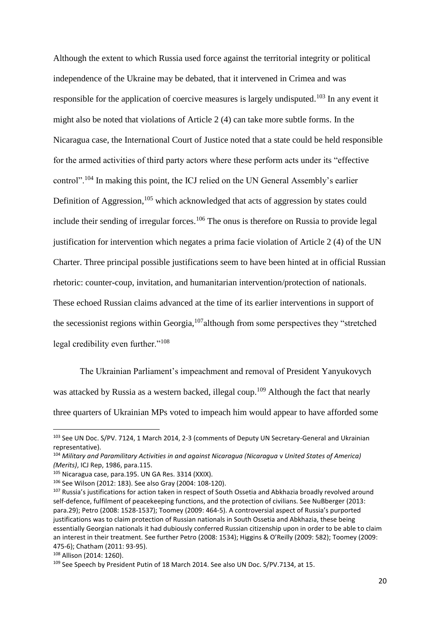Although the extent to which Russia used force against the territorial integrity or political independence of the Ukraine may be debated, that it intervened in Crimea and was responsible for the application of coercive measures is largely undisputed.<sup>103</sup> In any event it might also be noted that violations of Article 2 (4) can take more subtle forms. In the Nicaragua case, the International Court of Justice noted that a state could be held responsible for the armed activities of third party actors where these perform acts under its "effective control".<sup>104</sup> In making this point, the ICJ relied on the UN General Assembly's earlier Definition of Aggression, $105$  which acknowledged that acts of aggression by states could include their sending of irregular forces.<sup>106</sup> The onus is therefore on Russia to provide legal justification for intervention which negates a prima facie violation of Article 2 (4) of the UN Charter. Three principal possible justifications seem to have been hinted at in official Russian rhetoric: counter-coup, invitation, and humanitarian intervention/protection of nationals. These echoed Russian claims advanced at the time of its earlier interventions in support of the secessionist regions within Georgia,  $107$  although from some perspectives they "stretched legal credibility even further."<sup>108</sup>

The Ukrainian Parliament's impeachment and removal of President Yanyukovych was attacked by Russia as a western backed, illegal coup.<sup>109</sup> Although the fact that nearly three quarters of Ukrainian MPs voted to impeach him would appear to have afforded some

<sup>103</sup> See UN Doc. S/PV. 7124, 1 March 2014, 2-3 (comments of Deputy UN Secretary-General and Ukrainian representative).

<sup>104</sup> *Military and Paramilitary Activities in and against Nicaragua (Nicaragua* v *United States of America) (Merits)*, ICJ Rep, 1986, para.115.

<sup>105</sup> Nicaragua case, para.195. UN GA Res. 3314 (XXIX).

<sup>106</sup> See Wilson (2012: 183). See also Gray (2004: 108-120).

<sup>&</sup>lt;sup>107</sup> Russia's justifications for action taken in respect of South Ossetia and Abkhazia broadly revolved around self-defence, fulfilment of peacekeeping functions, and the protection of civilians. See NuBberger (2013: para.29); Petro (2008: 1528-1537); Toomey (2009: 464-5). A controversial aspect of Russia's purported justifications was to claim protection of Russian nationals in South Ossetia and Abkhazia, these being essentially Georgian nationals it had dubiously conferred Russian citizenship upon in order to be able to claim an interest in their treatment. See further Petro (2008: 1534); Higgins & O'Reilly (2009: 582); Toomey (2009: 475-6); Chatham (2011: 93-95).

<sup>108</sup> Allison (2014: 1260).

<sup>109</sup> See Speech by President Putin of 18 March 2014. See also UN Doc. S/PV.7134, at 15.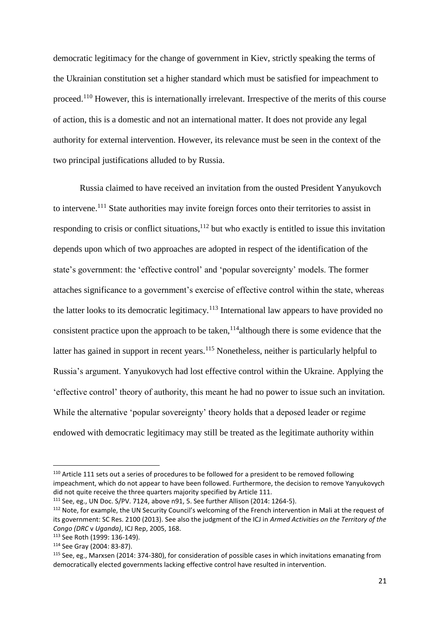democratic legitimacy for the change of government in Kiev, strictly speaking the terms of the Ukrainian constitution set a higher standard which must be satisfied for impeachment to proceed.<sup>110</sup> However, this is internationally irrelevant. Irrespective of the merits of this course of action, this is a domestic and not an international matter. It does not provide any legal authority for external intervention. However, its relevance must be seen in the context of the two principal justifications alluded to by Russia.

Russia claimed to have received an invitation from the ousted President Yanyukovch to intervene.<sup>111</sup> State authorities may invite foreign forces onto their territories to assist in responding to crisis or conflict situations, $112$  but who exactly is entitled to issue this invitation depends upon which of two approaches are adopted in respect of the identification of the state's government: the 'effective control' and 'popular sovereignty' models. The former attaches significance to a government's exercise of effective control within the state, whereas the latter looks to its democratic legitimacy.<sup>113</sup> International law appears to have provided no consistent practice upon the approach to be taken,  $114$  although there is some evidence that the latter has gained in support in recent years.<sup>115</sup> Nonetheless, neither is particularly helpful to Russia's argument. Yanyukovych had lost effective control within the Ukraine. Applying the 'effective control' theory of authority, this meant he had no power to issue such an invitation. While the alternative 'popular sovereignty' theory holds that a deposed leader or regime endowed with democratic legitimacy may still be treated as the legitimate authority within

<sup>&</sup>lt;sup>110</sup> Article 111 sets out a series of procedures to be followed for a president to be removed following impeachment, which do not appear to have been followed. Furthermore, the decision to remove Yanyukovych did not quite receive the three quarters majority specified by Article 111.

<sup>111</sup> See, eg., UN Doc. S/PV. 7124, above n91, 5. See further Allison (2014: 1264-5).

<sup>&</sup>lt;sup>112</sup> Note, for example, the UN Security Council's welcoming of the French intervention in Mali at the request of its government: SC Res. 2100 (2013). See also the judgment of the ICJ in *Armed Activities on the Territory of the Congo (DRC* v *Uganda)*, ICJ Rep, 2005, 168.

<sup>113</sup> See Roth (1999: 136-149).

<sup>114</sup> See Gray (2004: 83-87).

<sup>115</sup> See, eg., Marxsen (2014: 374-380), for consideration of possible cases in which invitations emanating from democratically elected governments lacking effective control have resulted in intervention.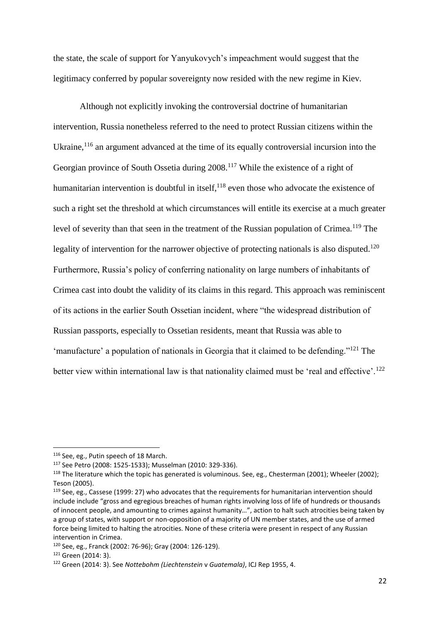the state, the scale of support for Yanyukovych's impeachment would suggest that the legitimacy conferred by popular sovereignty now resided with the new regime in Kiev.

Although not explicitly invoking the controversial doctrine of humanitarian intervention, Russia nonetheless referred to the need to protect Russian citizens within the Ukraine,  $116$  an argument advanced at the time of its equally controversial incursion into the Georgian province of South Ossetia during 2008.<sup>117</sup> While the existence of a right of humanitarian intervention is doubtful in itself, $118$  even those who advocate the existence of such a right set the threshold at which circumstances will entitle its exercise at a much greater level of severity than that seen in the treatment of the Russian population of Crimea.<sup>119</sup> The legality of intervention for the narrower objective of protecting nationals is also disputed.<sup>120</sup> Furthermore, Russia's policy of conferring nationality on large numbers of inhabitants of Crimea cast into doubt the validity of its claims in this regard. This approach was reminiscent of its actions in the earlier South Ossetian incident, where "the widespread distribution of Russian passports, especially to Ossetian residents, meant that Russia was able to 'manufacture' a population of nationals in Georgia that it claimed to be defending."<sup>121</sup> The better view within international law is that nationality claimed must be 'real and effective'.<sup>122</sup>

<sup>116</sup> See, eg., Putin speech of 18 March.

<sup>117</sup> See Petro (2008: 1525-1533); Musselman (2010: 329-336).

<sup>&</sup>lt;sup>118</sup> The literature which the topic has generated is voluminous. See, eg., Chesterman (2001); Wheeler (2002); Teson (2005).

<sup>119</sup> See, eg., Cassese (1999: 27) who advocates that the requirements for humanitarian intervention should include include "gross and egregious breaches of human rights involving loss of life of hundreds or thousands of innocent people, and amounting to crimes against humanity…", action to halt such atrocities being taken by a group of states, with support or non-opposition of a majority of UN member states, and the use of armed force being limited to halting the atrocities. None of these criteria were present in respect of any Russian intervention in Crimea.

<sup>120</sup> See, eg., Franck (2002: 76-96); Gray (2004: 126-129).

<sup>121</sup> Green (2014: 3).

<sup>122</sup> Green (2014: 3). See *Nottebohm (Liechtenstein* v *Guatemala)*, ICJ Rep 1955, 4.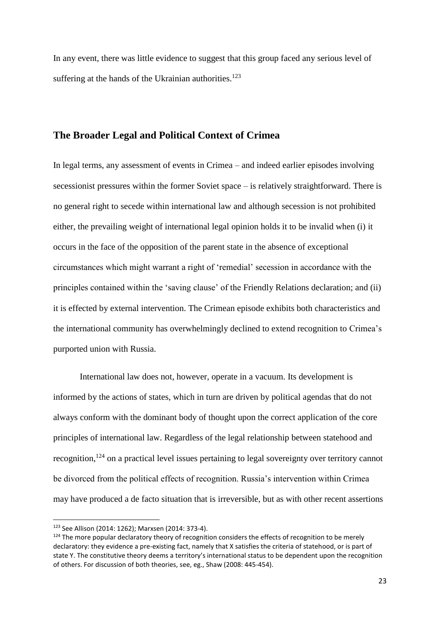In any event, there was little evidence to suggest that this group faced any serious level of suffering at the hands of the Ukrainian authorities.<sup>123</sup>

## **The Broader Legal and Political Context of Crimea**

In legal terms, any assessment of events in Crimea – and indeed earlier episodes involving secessionist pressures within the former Soviet space – is relatively straightforward. There is no general right to secede within international law and although secession is not prohibited either, the prevailing weight of international legal opinion holds it to be invalid when (i) it occurs in the face of the opposition of the parent state in the absence of exceptional circumstances which might warrant a right of 'remedial' secession in accordance with the principles contained within the 'saving clause' of the Friendly Relations declaration; and (ii) it is effected by external intervention. The Crimean episode exhibits both characteristics and the international community has overwhelmingly declined to extend recognition to Crimea's purported union with Russia.

International law does not, however, operate in a vacuum. Its development is informed by the actions of states, which in turn are driven by political agendas that do not always conform with the dominant body of thought upon the correct application of the core principles of international law. Regardless of the legal relationship between statehood and recognition,<sup>124</sup> on a practical level issues pertaining to legal sovereignty over territory cannot be divorced from the political effects of recognition. Russia's intervention within Crimea may have produced a de facto situation that is irreversible, but as with other recent assertions

 $\overline{a}$ 

<sup>123</sup> See Allison (2014: 1262); Marxsen (2014: 373-4).

<sup>&</sup>lt;sup>124</sup> The more popular declaratory theory of recognition considers the effects of recognition to be merely declaratory: they evidence a pre-existing fact, namely that X satisfies the criteria of statehood, or is part of state Y. The constitutive theory deems a territory's international status to be dependent upon the recognition of others. For discussion of both theories, see, eg., Shaw (2008: 445-454).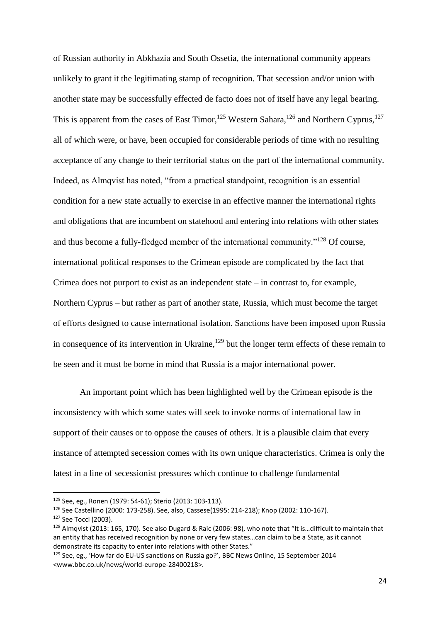of Russian authority in Abkhazia and South Ossetia, the international community appears unlikely to grant it the legitimating stamp of recognition. That secession and/or union with another state may be successfully effected de facto does not of itself have any legal bearing. This is apparent from the cases of East Timor,<sup>125</sup> Western Sahara,<sup>126</sup> and Northern Cyprus,<sup>127</sup> all of which were, or have, been occupied for considerable periods of time with no resulting acceptance of any change to their territorial status on the part of the international community. Indeed, as Almqvist has noted, "from a practical standpoint, recognition is an essential condition for a new state actually to exercise in an effective manner the international rights and obligations that are incumbent on statehood and entering into relations with other states and thus become a fully-fledged member of the international community."<sup>128</sup> Of course, international political responses to the Crimean episode are complicated by the fact that Crimea does not purport to exist as an independent state  $-$  in contrast to, for example, Northern Cyprus – but rather as part of another state, Russia, which must become the target of efforts designed to cause international isolation. Sanctions have been imposed upon Russia in consequence of its intervention in Ukraine,<sup>129</sup> but the longer term effects of these remain to be seen and it must be borne in mind that Russia is a major international power.

An important point which has been highlighted well by the Crimean episode is the inconsistency with which some states will seek to invoke norms of international law in support of their causes or to oppose the causes of others. It is a plausible claim that every instance of attempted secession comes with its own unique characteristics. Crimea is only the latest in a line of secessionist pressures which continue to challenge fundamental

<sup>125</sup> See, eg., Ronen (1979: 54-61); Sterio (2013: 103-113).

<sup>126</sup> See Castellino (2000: 173-258). See, also, Cassese(1995: 214-218); Knop (2002: 110-167).

<sup>127</sup> See Tocci (2003).

<sup>&</sup>lt;sup>128</sup> Almqvist (2013: 165, 170). See also Dugard & Raic (2006: 98), who note that "It is...difficult to maintain that an entity that has received recognition by none or very few states…can claim to be a State, as it cannot demonstrate its capacity to enter into relations with other States."

<sup>129</sup> See, eg., 'How far do EU-US sanctions on Russia go?', BBC News Online, 15 September 2014 [<www.bbc.co.uk/news/world-europe-28400218>](http://www.bbc.co.uk/news/world-europe-28400218).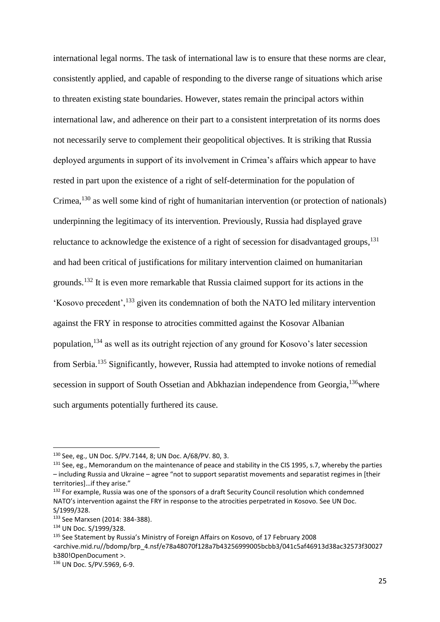international legal norms. The task of international law is to ensure that these norms are clear, consistently applied, and capable of responding to the diverse range of situations which arise to threaten existing state boundaries. However, states remain the principal actors within international law, and adherence on their part to a consistent interpretation of its norms does not necessarily serve to complement their geopolitical objectives. It is striking that Russia deployed arguments in support of its involvement in Crimea's affairs which appear to have rested in part upon the existence of a right of self-determination for the population of Crimea,<sup>130</sup> as well some kind of right of humanitarian intervention (or protection of nationals) underpinning the legitimacy of its intervention. Previously, Russia had displayed grave reluctance to acknowledge the existence of a right of secession for disadvantaged groups,<sup>131</sup> and had been critical of justifications for military intervention claimed on humanitarian grounds.<sup>132</sup> It is even more remarkable that Russia claimed support for its actions in the 'Kosovo precedent',<sup>133</sup> given its condemnation of both the NATO led military intervention against the FRY in response to atrocities committed against the Kosovar Albanian population,<sup>134</sup> as well as its outright rejection of any ground for Kosovo's later secession from Serbia.<sup>135</sup> Significantly, however, Russia had attempted to invoke notions of remedial secession in support of South Ossetian and Abkhazian independence from Georgia, <sup>136</sup>where such arguments potentially furthered its cause.

<sup>130</sup> See, eg., UN Doc. S/PV.7144, 8; UN Doc. A/68/PV. 80, 3.

<sup>&</sup>lt;sup>131</sup> See, eg., Memorandum on the maintenance of peace and stability in the CIS 1995, s.7, whereby the parties – including Russia and Ukraine – agree "not to support separatist movements and separatist regimes in [their territories]…if they arise."

<sup>&</sup>lt;sup>132</sup> For example, Russia was one of the sponsors of a draft Security Council resolution which condemned NATO's intervention against the FRY in response to the atrocities perpetrated in Kosovo. See UN Doc. S/1999/328.

<sup>133</sup> See Marxsen (2014: 384-388).

<sup>134</sup> UN Doc. S/1999/328.

<sup>135</sup> See Statement by Russia's Ministry of Foreign Affairs on Kosovo, of 17 February 2008 [<archive.mid.ru//bdomp/brp\\_4.nsf/e78a48070f128a7b43256999005bcbb3/041c5af46913d38ac32573f30027](http://archive.mid.ru/bdomp/brp_4.nsf/e78a48070f128a7b43256999005bcbb3/041c5af46913d38ac32573f30027b380!OpenDocument) [b380!OpenDocument](http://archive.mid.ru/bdomp/brp_4.nsf/e78a48070f128a7b43256999005bcbb3/041c5af46913d38ac32573f30027b380!OpenDocument) >.

<sup>136</sup> UN Doc. S/PV.5969, 6-9.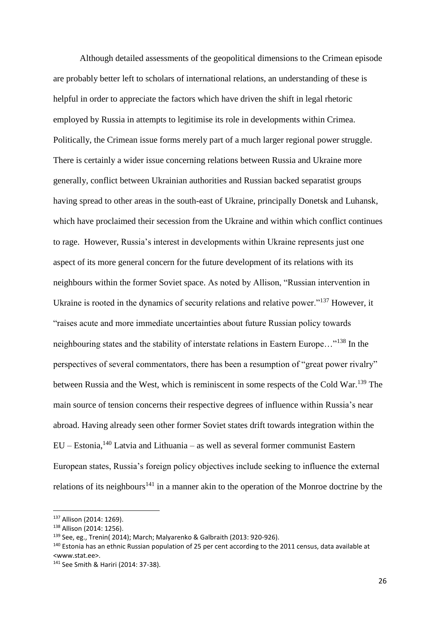Although detailed assessments of the geopolitical dimensions to the Crimean episode are probably better left to scholars of international relations, an understanding of these is helpful in order to appreciate the factors which have driven the shift in legal rhetoric employed by Russia in attempts to legitimise its role in developments within Crimea. Politically, the Crimean issue forms merely part of a much larger regional power struggle. There is certainly a wider issue concerning relations between Russia and Ukraine more generally, conflict between Ukrainian authorities and Russian backed separatist groups having spread to other areas in the south-east of Ukraine, principally Donetsk and Luhansk, which have proclaimed their secession from the Ukraine and within which conflict continues to rage. However, Russia's interest in developments within Ukraine represents just one aspect of its more general concern for the future development of its relations with its neighbours within the former Soviet space. As noted by Allison, "Russian intervention in Ukraine is rooted in the dynamics of security relations and relative power."<sup>137</sup> However, it "raises acute and more immediate uncertainties about future Russian policy towards neighbouring states and the stability of interstate relations in Eastern Europe…"<sup>138</sup> In the perspectives of several commentators, there has been a resumption of "great power rivalry" between Russia and the West, which is reminiscent in some respects of the Cold War.<sup>139</sup> The main source of tension concerns their respective degrees of influence within Russia's near abroad. Having already seen other former Soviet states drift towards integration within the EU – Estonia,<sup>140</sup> Latvia and Lithuania – as well as several former communist Eastern European states, Russia's foreign policy objectives include seeking to influence the external relations of its neighbours<sup>141</sup> in a manner akin to the operation of the Monroe doctrine by the

**.** 

<sup>137</sup> Allison (2014: 1269).

<sup>138</sup> Allison (2014: 1256).

<sup>139</sup> See, eg., Trenin( 2014); March; Malyarenko & Galbraith (2013: 920-926).

<sup>&</sup>lt;sup>140</sup> Estonia has an ethnic Russian population of 25 per cent according to the 2011 census, data available at [<www.stat.ee>](http://www.stat.ee/).

<sup>141</sup> See Smith & Hariri (2014: 37-38).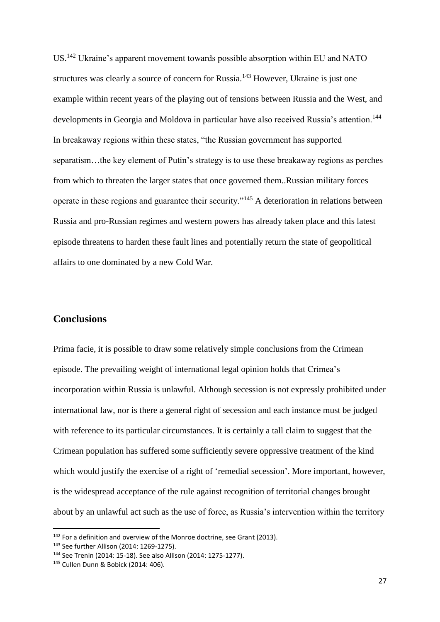US.<sup>142</sup> Ukraine's apparent movement towards possible absorption within EU and NATO structures was clearly a source of concern for Russia.<sup>143</sup> However, Ukraine is just one example within recent years of the playing out of tensions between Russia and the West, and developments in Georgia and Moldova in particular have also received Russia's attention.<sup>144</sup> In breakaway regions within these states, "the Russian government has supported separatism…the key element of Putin's strategy is to use these breakaway regions as perches from which to threaten the larger states that once governed them..Russian military forces operate in these regions and guarantee their security."<sup>145</sup> A deterioration in relations between Russia and pro-Russian regimes and western powers has already taken place and this latest episode threatens to harden these fault lines and potentially return the state of geopolitical affairs to one dominated by a new Cold War.

## **Conclusions**

Prima facie, it is possible to draw some relatively simple conclusions from the Crimean episode. The prevailing weight of international legal opinion holds that Crimea's incorporation within Russia is unlawful. Although secession is not expressly prohibited under international law, nor is there a general right of secession and each instance must be judged with reference to its particular circumstances. It is certainly a tall claim to suggest that the Crimean population has suffered some sufficiently severe oppressive treatment of the kind which would justify the exercise of a right of 'remedial secession'. More important, however, is the widespread acceptance of the rule against recognition of territorial changes brought about by an unlawful act such as the use of force, as Russia's intervention within the territory

<sup>&</sup>lt;sup>142</sup> For a definition and overview of the Monroe doctrine, see Grant (2013).

<sup>143</sup> See further Allison (2014: 1269-1275).

<sup>144</sup> See Trenin (2014: 15-18). See also Allison (2014: 1275-1277).

<sup>145</sup> Cullen Dunn & Bobick (2014: 406).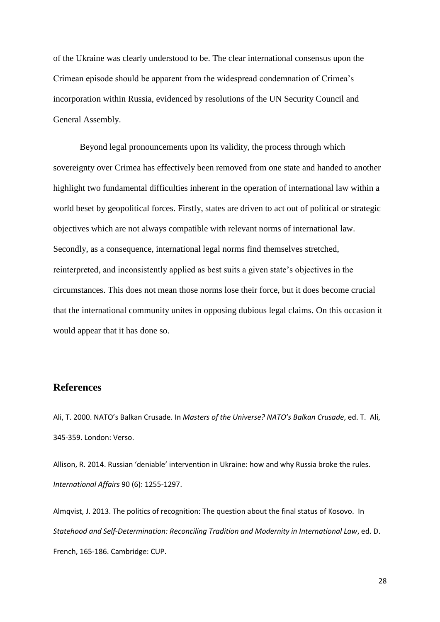of the Ukraine was clearly understood to be. The clear international consensus upon the Crimean episode should be apparent from the widespread condemnation of Crimea's incorporation within Russia, evidenced by resolutions of the UN Security Council and General Assembly.

Beyond legal pronouncements upon its validity, the process through which sovereignty over Crimea has effectively been removed from one state and handed to another highlight two fundamental difficulties inherent in the operation of international law within a world beset by geopolitical forces. Firstly, states are driven to act out of political or strategic objectives which are not always compatible with relevant norms of international law. Secondly, as a consequence, international legal norms find themselves stretched, reinterpreted, and inconsistently applied as best suits a given state's objectives in the circumstances. This does not mean those norms lose their force, but it does become crucial that the international community unites in opposing dubious legal claims. On this occasion it would appear that it has done so.

## **References**

Ali, T. 2000. NATO's Balkan Crusade. In *Masters of the Universe? NATO's Balkan Crusade*, ed. T. Ali, 345-359. London: Verso.

Allison, R. 2014. Russian 'deniable' intervention in Ukraine: how and why Russia broke the rules. *International Affairs* 90 (6): 1255-1297.

Almqvist, J. 2013. The politics of recognition: The question about the final status of Kosovo. In *Statehood and Self-Determination: Reconciling Tradition and Modernity in International Law*, ed. D. French, 165-186. Cambridge: CUP.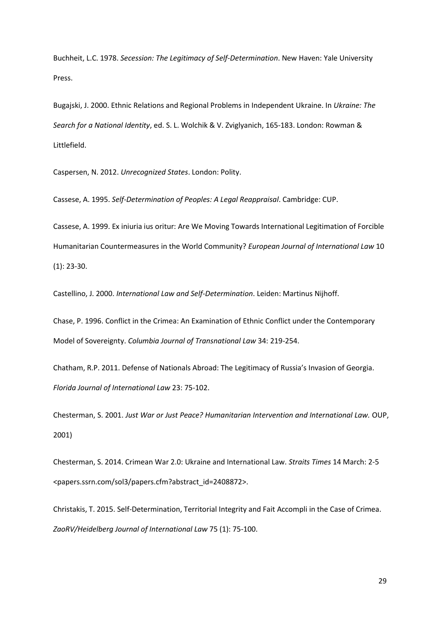Buchheit, L.C. 1978. *Secession: The Legitimacy of Self-Determination*. New Haven: Yale University Press.

Bugajski, J. 2000. Ethnic Relations and Regional Problems in Independent Ukraine. In *Ukraine: The Search for a National Identity*, ed. S. L. Wolchik & V. Zviglyanich, 165-183. London: Rowman & Littlefield.

Caspersen, N. 2012. *Unrecognized States*. London: Polity.

Cassese, A. 1995. *Self-Determination of Peoples: A Legal Reappraisal*. Cambridge: CUP.

Cassese, A. 1999. Ex iniuria ius oritur: Are We Moving Towards International Legitimation of Forcible Humanitarian Countermeasures in the World Community? *European Journal of International Law* 10 (1): 23-30.

Castellino, J. 2000. *International Law and Self-Determination*. Leiden: Martinus Nijhoff.

Chase, P. 1996. Conflict in the Crimea: An Examination of Ethnic Conflict under the Contemporary Model of Sovereignty. *Columbia Journal of Transnational Law* 34: 219-254.

Chatham, R.P. 2011. Defense of Nationals Abroad: The Legitimacy of Russia's Invasion of Georgia. *Florida Journal of International Law* 23: 75-102.

Chesterman, S. 2001. *Just War or Just Peace? Humanitarian Intervention and International Law.* OUP, 2001)

Chesterman, S. 2014. Crimean War 2.0: Ukraine and International Law. *Straits Times* 14 March: 2-5 [<papers.ssrn.com/sol3/papers.cfm?abstract\\_id=2408872>](http://papers.ssrn.com/sol3/papers.cfm?abstract_id=2408872).

Christakis, T. 2015. Self-Determination, Territorial Integrity and Fait Accompli in the Case of Crimea. *ZaoRV/Heidelberg Journal of International Law* 75 (1): 75-100.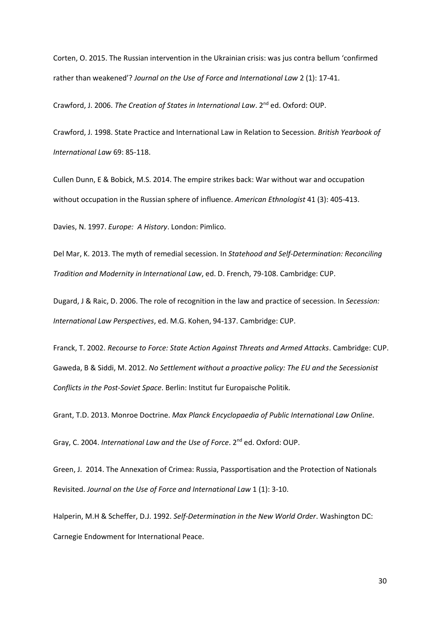Corten, O. 2015. The Russian intervention in the Ukrainian crisis: was jus contra bellum 'confirmed rather than weakened'? *Journal on the Use of Force and International Law* 2 (1): 17-41.

Crawford, J. 2006. *The Creation of States in International Law*. 2nd ed. Oxford: OUP.

Crawford, J. 1998. State Practice and International Law in Relation to Secession. *British Yearbook of International Law* 69: 85-118.

Cullen Dunn, E & Bobick, M.S. 2014. The empire strikes back: War without war and occupation without occupation in the Russian sphere of influence. *American Ethnologist* 41 (3): 405-413.

Davies, N. 1997. *Europe: A History*. London: Pimlico.

Del Mar, K. 2013. The myth of remedial secession. In *Statehood and Self-Determination: Reconciling Tradition and Modernity in International Law*, ed. D. French, 79-108. Cambridge: CUP.

Dugard, J & Raic, D. 2006. The role of recognition in the law and practice of secession. In *Secession: International Law Perspectives*, ed. M.G. Kohen, 94-137. Cambridge: CUP.

Franck, T. 2002. *Recourse to Force: State Action Against Threats and Armed Attacks*. Cambridge: CUP. Gaweda, B & Siddi, M. 2012. *No Settlement without a proactive policy: The EU and the Secessionist Conflicts in the Post-Soviet Space*. Berlin: Institut fur Europaische Politik.

Grant, T.D. 2013. Monroe Doctrine. *Max Planck Encyclopaedia of Public International Law Online*.

Gray, C. 2004. *International Law and the Use of Force*. 2nd ed. Oxford: OUP.

Green, J. 2014. The Annexation of Crimea: Russia, Passportisation and the Protection of Nationals Revisited. *Journal on the Use of Force and International Law* 1 (1): 3-10.

Halperin, M.H & Scheffer, D.J. 1992. *Self-Determination in the New World Order*. Washington DC: Carnegie Endowment for International Peace.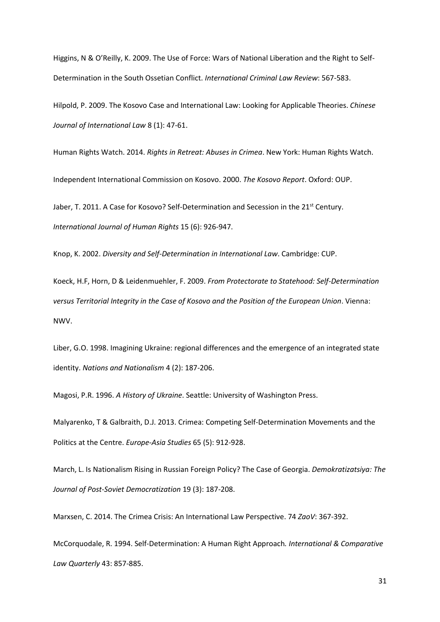Higgins, N & O'Reilly, K. 2009. The Use of Force: Wars of National Liberation and the Right to Self-Determination in the South Ossetian Conflict. *International Criminal Law Review*: 567-583.

Hilpold, P. 2009. The Kosovo Case and International Law: Looking for Applicable Theories. *Chinese Journal of International Law* 8 (1): 47-61.

Human Rights Watch. 2014. *Rights in Retreat: Abuses in Crimea*. New York: Human Rights Watch.

Independent International Commission on Kosovo. 2000. *The Kosovo Report*. Oxford: OUP.

Jaber, T. 2011. A Case for Kosovo? Self-Determination and Secession in the 21<sup>st</sup> Century. *International Journal of Human Rights* 15 (6): 926-947.

Knop, K. 2002. *Diversity and Self-Determination in International Law*. Cambridge: CUP.

Koeck, H.F, Horn, D & Leidenmuehler, F. 2009. *From Protectorate to Statehood: Self-Determination versus Territorial Integrity in the Case of Kosovo and the Position of the European Union*. Vienna: NWV.

Liber, G.O. 1998. Imagining Ukraine: regional differences and the emergence of an integrated state identity. *Nations and Nationalism* 4 (2): 187-206.

Magosi, P.R. 1996. *A History of Ukraine*. Seattle: University of Washington Press.

Malyarenko, T & Galbraith, D.J. 2013. Crimea: Competing Self-Determination Movements and the Politics at the Centre. *Europe-Asia Studies* 65 (5): 912-928.

March, L. Is Nationalism Rising in Russian Foreign Policy? The Case of Georgia. *Demokratizatsiya: The Journal of Post-Soviet Democratization* 19 (3): 187-208.

Marxsen, C. 2014. The Crimea Crisis: An International Law Perspective. 74 *ZaoV*: 367-392.

McCorquodale, R. 1994. Self-Determination: A Human Right Approach*. International & Comparative Law Quarterly* 43: 857-885.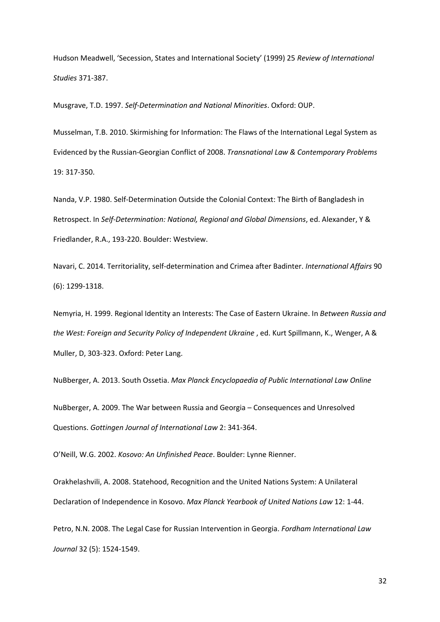Hudson Meadwell, 'Secession, States and International Society' (1999) 25 *Review of International Studies* 371-387.

Musgrave, T.D. 1997. *Self-Determination and National Minorities*. Oxford: OUP.

Musselman, T.B. 2010. Skirmishing for Information: The Flaws of the International Legal System as Evidenced by the Russian-Georgian Conflict of 2008. *Transnational Law & Contemporary Problems* 19: 317-350.

Nanda, V.P. 1980. Self-Determination Outside the Colonial Context: The Birth of Bangladesh in Retrospect. In *Self-Determination: National, Regional and Global Dimensions*, ed. Alexander, Y & Friedlander, R.A., 193-220. Boulder: Westview.

Navari, C. 2014. Territoriality, self-determination and Crimea after Badinter. *International Affairs* 90 (6): 1299-1318.

Nemyria, H. 1999. Regional Identity an Interests: The Case of Eastern Ukraine. In *Between Russia and the West: Foreign and Security Policy of Independent Ukraine* , ed. Kurt Spillmann, K., Wenger, A & Muller, D, 303-323. Oxford: Peter Lang.

NuBberger, A. 2013. South Ossetia. *Max Planck Encyclopaedia of Public International Law Online* NuBberger, A. 2009. The War between Russia and Georgia – Consequences and Unresolved Questions. *Gottingen Journal of International Law* 2: 341-364.

O'Neill, W.G. 2002. *Kosovo: An Unfinished Peace*. Boulder: Lynne Rienner.

Orakhelashvili, A. 2008. Statehood, Recognition and the United Nations System: A Unilateral Declaration of Independence in Kosovo. *Max Planck Yearbook of United Nations Law* 12: 1-44.

Petro, N.N. 2008. The Legal Case for Russian Intervention in Georgia. *Fordham International Law Journal* 32 (5): 1524-1549.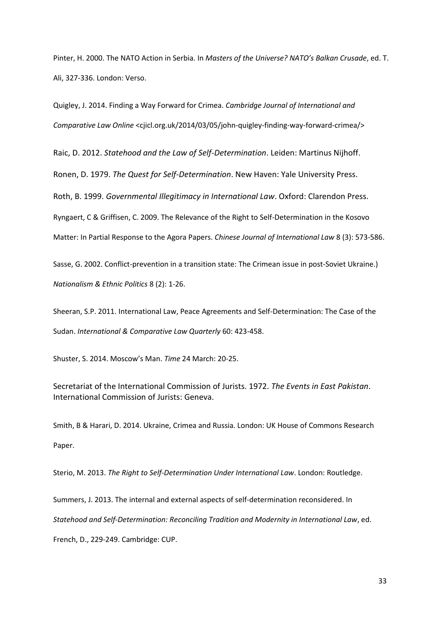Pinter, H. 2000. The NATO Action in Serbia. In *Masters of the Universe? NATO's Balkan Crusade*, ed. T. Ali, 327-336. London: Verso.

Quigley, J. 2014. Finding a Way Forward for Crimea. *Cambridge Journal of International and Comparative Law Online* [<cjicl.org.uk/2014/03/05/john-quigley-finding-way-forward-crimea/>](http://cjicl.org.uk/2014/03/05/john-quigley-finding-way-forward-crimea/)

Raic, D. 2012. *Statehood and the Law of Self-Determination*. Leiden: Martinus Nijhoff.

Ronen, D. 1979. *The Quest for Self-Determination*. New Haven: Yale University Press.

Roth, B. 1999. *Governmental Illegitimacy in International Law*. Oxford: Clarendon Press.

Ryngaert, C & Griffisen, C. 2009. The Relevance of the Right to Self-Determination in the Kosovo

Matter: In Partial Response to the Agora Papers. *Chinese Journal of International Law* 8 (3): 573-586.

Sasse, G. 2002. Conflict-prevention in a transition state: The Crimean issue in post-Soviet Ukraine.) *Nationalism & Ethnic Politics* 8 (2): 1-26.

Sheeran, S.P. 2011. International Law, Peace Agreements and Self-Determination: The Case of the Sudan. *International & Comparative Law Quarterly* 60: 423-458.

Shuster, S. 2014. Moscow's Man. *Time* 24 March: 20-25.

Secretariat of the International Commission of Jurists. 1972. *The Events in East Pakistan*. International Commission of Jurists: Geneva.

Smith, B & Harari, D. 2014. Ukraine, Crimea and Russia. London: UK House of Commons Research Paper.

Sterio, M. 2013. *The Right to Self-Determination Under International Law*. London: Routledge.

Summers, J. 2013. The internal and external aspects of self-determination reconsidered. In *Statehood and Self-Determination: Reconciling Tradition and Modernity in International Law*, ed. French, D., 229-249. Cambridge: CUP.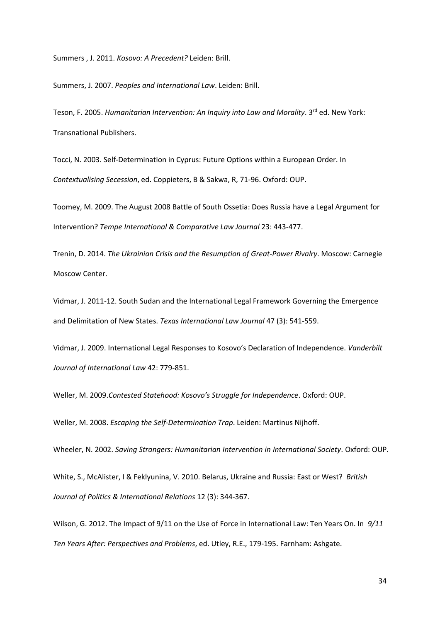Summers , J. 2011. *Kosovo: A Precedent?* Leiden: Brill.

Summers, J. 2007. *Peoples and International Law*. Leiden: Brill.

Teson, F. 2005. *Humanitarian Intervention: An Inquiry into Law and Morality*. 3<sup>rd</sup> ed. New York: Transnational Publishers.

Tocci, N. 2003. Self-Determination in Cyprus: Future Options within a European Order. In *Contextualising Secession*, ed. Coppieters, B & Sakwa, R, 71-96. Oxford: OUP.

Toomey, M. 2009. The August 2008 Battle of South Ossetia: Does Russia have a Legal Argument for Intervention? *Tempe International & Comparative Law Journal* 23: 443-477.

Trenin, D. 2014. *The Ukrainian Crisis and the Resumption of Great-Power Rivalry*. Moscow: Carnegie Moscow Center.

Vidmar, J. 2011-12. South Sudan and the International Legal Framework Governing the Emergence and Delimitation of New States. *Texas International Law Journal* 47 (3): 541-559.

Vidmar, J. 2009. International Legal Responses to Kosovo's Declaration of Independence. *Vanderbilt Journal of International Law* 42: 779-851.

Weller, M. 2009.*Contested Statehood: Kosovo's Struggle for Independence*. Oxford: OUP.

Weller, M. 2008. *Escaping the Self-Determination Trap*. Leiden: Martinus Nijhoff.

Wheeler, N. 2002. *Saving Strangers: Humanitarian Intervention in International Society*. Oxford: OUP.

White, S., McAlister, I & Feklyunina, V. 2010. Belarus, Ukraine and Russia: East or West? *British Journal of Politics & International Relations* 12 (3): 344-367.

Wilson, G. 2012. The Impact of 9/11 on the Use of Force in International Law: Ten Years On. In *9/11 Ten Years After: Perspectives and Problems*, ed. Utley, R.E., 179-195. Farnham: Ashgate.